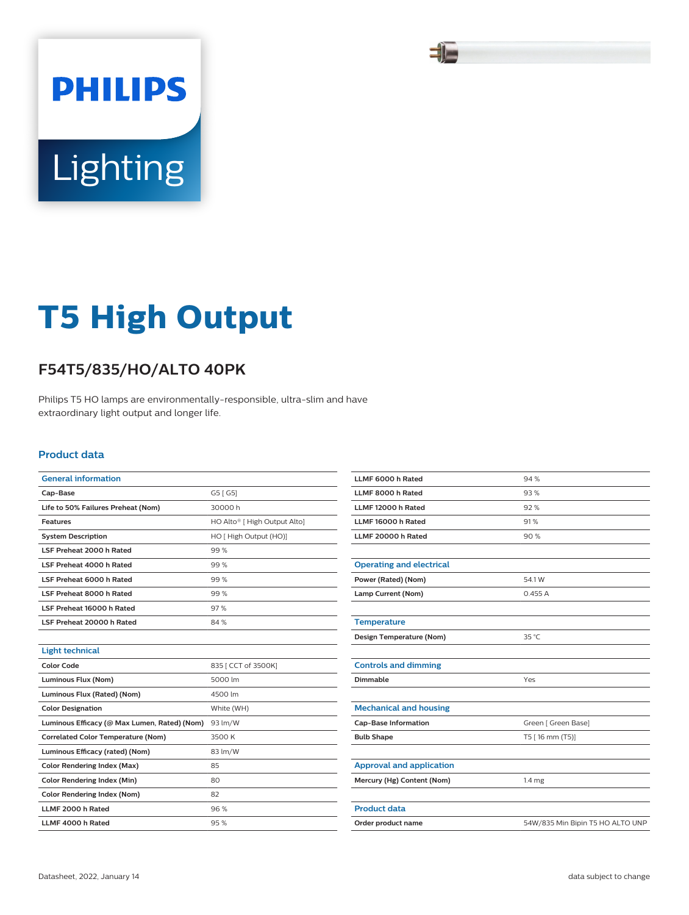### SI

# **Lighting**

**PHILIPS** 

## **T5 High Output**

#### **F54T5/835/HO/ALTO 40PK**

Philips T5 HO lamps are environmentally-responsible, ultra-slim and have extraordinary light output and longer life.

#### **Product data**

| <b>General information</b>                   |                                          |  |  |
|----------------------------------------------|------------------------------------------|--|--|
| Cap-Base                                     | G5 [ G5]                                 |  |  |
| Life to 50% Failures Preheat (Nom)           | 30000h                                   |  |  |
| <b>Features</b>                              | HO Alto <sup>®</sup> [ High Output Alto] |  |  |
| <b>System Description</b>                    | HO [ High Output (HO)]                   |  |  |
| LSF Preheat 2000 h Rated                     | 99%                                      |  |  |
| LSF Preheat 4000 h Rated                     | 99%                                      |  |  |
| LSF Preheat 6000 h Rated                     | 99%                                      |  |  |
| LSF Preheat 8000 h Rated                     | 99%                                      |  |  |
| LSF Preheat 16000 h Rated                    | 97%                                      |  |  |
| LSF Preheat 20000 h Rated                    | 84%                                      |  |  |
|                                              |                                          |  |  |
| <b>Light technical</b>                       |                                          |  |  |
| <b>Color Code</b>                            | 835 [ CCT of 3500K]                      |  |  |
| Luminous Flux (Nom)                          | 5000 lm                                  |  |  |
| Luminous Flux (Rated) (Nom)                  | 4500 lm                                  |  |  |
| <b>Color Designation</b>                     | White (WH)                               |  |  |
| Luminous Efficacy (@ Max Lumen, Rated) (Nom) | 93 lm/W                                  |  |  |
| <b>Correlated Color Temperature (Nom)</b>    | 3500 K                                   |  |  |
| Luminous Efficacy (rated) (Nom)              | 83 lm/W                                  |  |  |
| <b>Color Rendering Index (Max)</b>           | 85                                       |  |  |
| <b>Color Rendering Index (Min)</b>           | 80                                       |  |  |
| Color Rendering Index (Nom)                  | 82                                       |  |  |
| LLMF 2000 h Rated                            | 96%                                      |  |  |
| LLMF 4000 h Rated                            | 95%                                      |  |  |

| LLMF 6000 h Rated               | 94 %                             |  |  |
|---------------------------------|----------------------------------|--|--|
| LLMF 8000 h Rated               | 93%                              |  |  |
| LLMF 12000 h Rated              | 92%                              |  |  |
| LLMF 16000 h Rated              | 91%                              |  |  |
| LLMF 20000 h Rated              | 90%                              |  |  |
|                                 |                                  |  |  |
| <b>Operating and electrical</b> |                                  |  |  |
| Power (Rated) (Nom)             | 54.1 W                           |  |  |
| Lamp Current (Nom)              | 0.455A                           |  |  |
|                                 |                                  |  |  |
| <b>Temperature</b>              |                                  |  |  |
| Design Temperature (Nom)        | 35 °C                            |  |  |
|                                 |                                  |  |  |
| <b>Controls and dimming</b>     |                                  |  |  |
| Dimmable                        | Yes                              |  |  |
|                                 |                                  |  |  |
| <b>Mechanical and housing</b>   |                                  |  |  |
| <b>Cap-Base Information</b>     | Green [ Green Base]              |  |  |
| <b>Bulb Shape</b>               | T5 [16 mm (T5)]                  |  |  |
|                                 |                                  |  |  |
| <b>Approval and application</b> |                                  |  |  |
| Mercury (Hg) Content (Nom)      | 1.4 mg                           |  |  |
|                                 |                                  |  |  |
| <b>Product data</b>             |                                  |  |  |
| Order product name              | 54W/835 Min Bipin T5 HO ALTO UNP |  |  |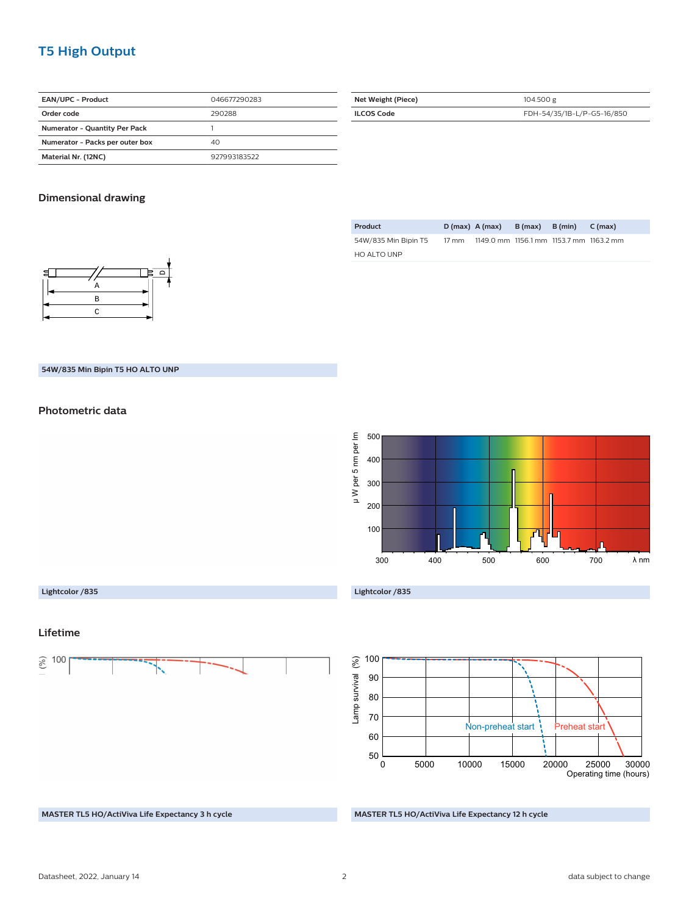#### **T5 High Output**

| EAN/UPC - Product                    | 046677290283 |
|--------------------------------------|--------------|
| Order code                           | 290288       |
| <b>Numerator - Quantity Per Pack</b> |              |
| Numerator - Packs per outer box      | 40           |
| Material Nr. (12NC)<br>927993183522  |              |

| Net Weight (Piece) | 104.500 g                  |  |  |
|--------------------|----------------------------|--|--|
| <b>ILCOS Code</b>  | FDH-54/35/1B-L/P-G5-16/850 |  |  |

#### **Dimensional drawing**

| c<br>$\mathbf -$ |           |  |
|------------------|-----------|--|
|                  | д         |  |
|                  | B         |  |
|                  | $\subset$ |  |
|                  |           |  |

| Product              |                 | $D(max)$ A (max)                        | B (max) | B (min) | C (max) |
|----------------------|-----------------|-----------------------------------------|---------|---------|---------|
| 54W/835 Min Bipin T5 | $17 \text{ mm}$ | 1149.0 mm 1156.1 mm 1153.7 mm 1163.2 mm |         |         |         |
| HO ALTO UNP          |                 |                                         |         |         |         |

#### **54W/835 Min Bipin T5 HO ALTO UNP**

#### **Photometric data**



#### **Lightcolor /835**

**Lifetime**

 $(0/6)$ 100 **Lightcolor /835**



#### **MASTER TL5 HO/ActiViva Life Expectancy 3 h cycle**

#### **MASTER TL5 HO/ActiViva Life Expectancy 12 h cycle**

#### Datasheet, 2022, January 14 2 data subject to change